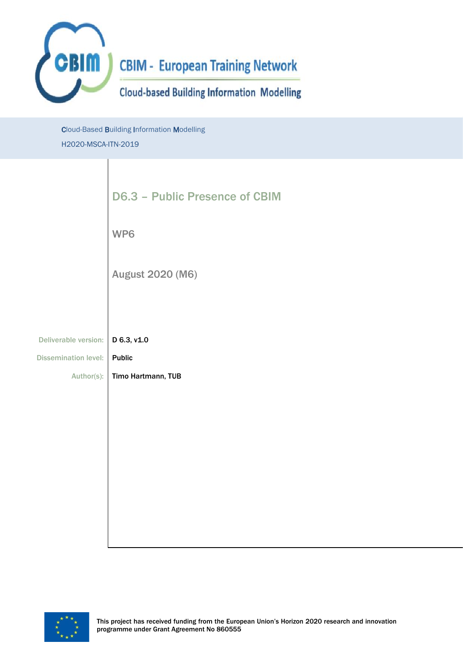

Cloud-Based Building Information Modelling H2020-MSCA-ITN-2019

|                             | <b>D6.3 - Public Presence of CBIM</b> |
|-----------------------------|---------------------------------------|
|                             | WP6                                   |
|                             | <b>August 2020 (M6)</b>               |
|                             |                                       |
| Deliverable version:        | D 6.3, v1.0                           |
| <b>Dissemination level:</b> | <b>Public</b>                         |
| Author(s):                  | Timo Hartmann, TUB                    |
|                             |                                       |
|                             |                                       |
|                             |                                       |
|                             |                                       |
|                             |                                       |
|                             |                                       |

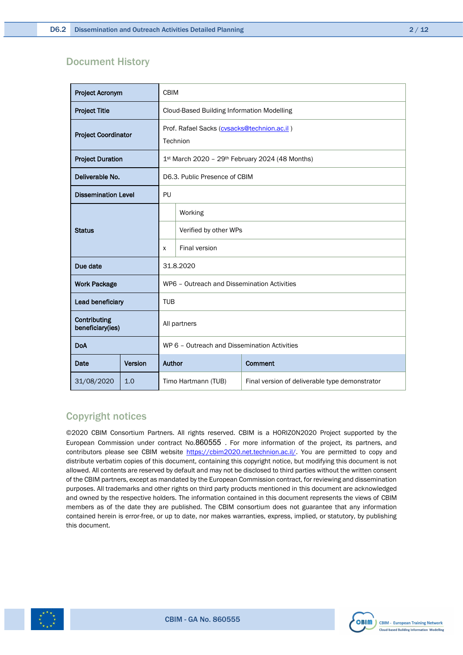#### Document History

| <b>Project Acronym</b>           |                                              | <b>CBIM</b>                                                           |                       |  |  |  |
|----------------------------------|----------------------------------------------|-----------------------------------------------------------------------|-----------------------|--|--|--|
| <b>Project Title</b>             |                                              | <b>Cloud-Based Building Information Modelling</b>                     |                       |  |  |  |
| <b>Project Coordinator</b>       |                                              | Prof. Rafael Sacks (cvsacks@technion.ac.il)<br>Technion               |                       |  |  |  |
| <b>Project Duration</b>          |                                              | 1st March 2020 - 29th February 2024 (48 Months)                       |                       |  |  |  |
| Deliverable No.                  |                                              | D6.3. Public Presence of CBIM                                         |                       |  |  |  |
| <b>Dissemination Level</b>       |                                              | PU                                                                    |                       |  |  |  |
|                                  |                                              |                                                                       | Working               |  |  |  |
| <b>Status</b>                    |                                              |                                                                       | Verified by other WPs |  |  |  |
|                                  |                                              | X                                                                     | <b>Final version</b>  |  |  |  |
| Due date                         |                                              | 31.8.2020                                                             |                       |  |  |  |
| <b>Work Package</b>              |                                              | WP6 - Outreach and Dissemination Activities                           |                       |  |  |  |
| Lead beneficiary                 |                                              | <b>TUB</b>                                                            |                       |  |  |  |
| Contributing<br>beneficiary(ies) |                                              | All partners                                                          |                       |  |  |  |
| <b>DoA</b>                       | WP 6 - Outreach and Dissemination Activities |                                                                       |                       |  |  |  |
| Date                             | Version                                      | Author<br>Comment                                                     |                       |  |  |  |
| 31/08/2020                       | 1.0                                          | Timo Hartmann (TUB)<br>Final version of deliverable type demonstrator |                       |  |  |  |

### Copyright notices

©2020 CBIM Consortium Partners. All rights reserved. CBIM is a HORIZON2020 Project supported by the European Commission under contract No.860555 . For more information of the project, its partners, and contributors please see CBIM website [https://cbim2020.net.technion.ac.il/.](https://cbim2020.net.technion.ac.il/) You are permitted to copy and distribute verbatim copies of this document, containing this copyright notice, but modifying this document is not allowed. All contents are reserved by default and may not be disclosed to third parties without the written consent of the CBIM partners, except as mandated by the European Commission contract, for reviewing and dissemination purposes. All trademarks and other rights on third party products mentioned in this document are acknowledged and owned by the respective holders. The information contained in this document represents the views of CBIM members as of the date they are published. The CBIM consortium does not guarantee that any information contained herein is error-free, or up to date, nor makes warranties, express, implied, or statutory, by publishing this document.



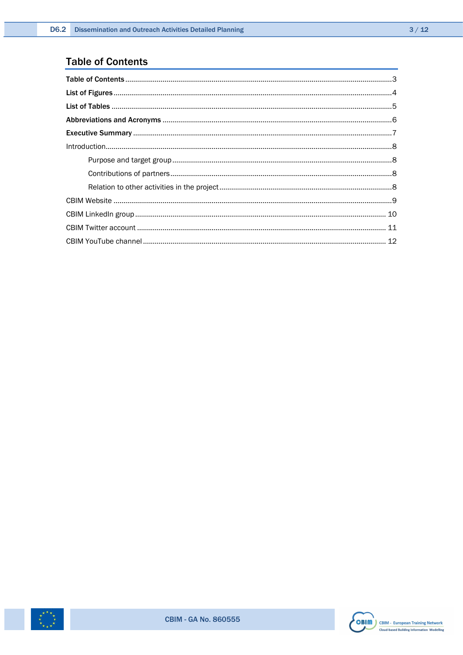### <span id="page-2-0"></span>**Table of Contents**



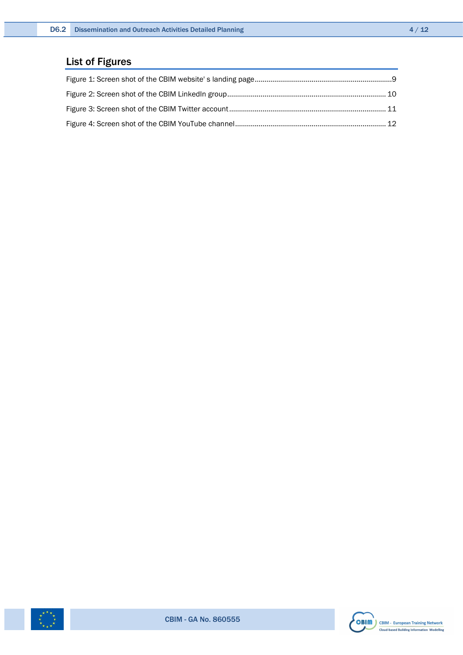### <span id="page-3-0"></span>List of Figures



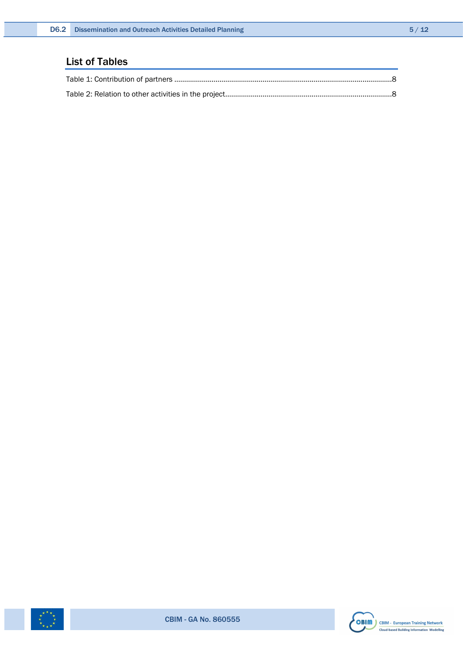### <span id="page-4-0"></span>List of Tables



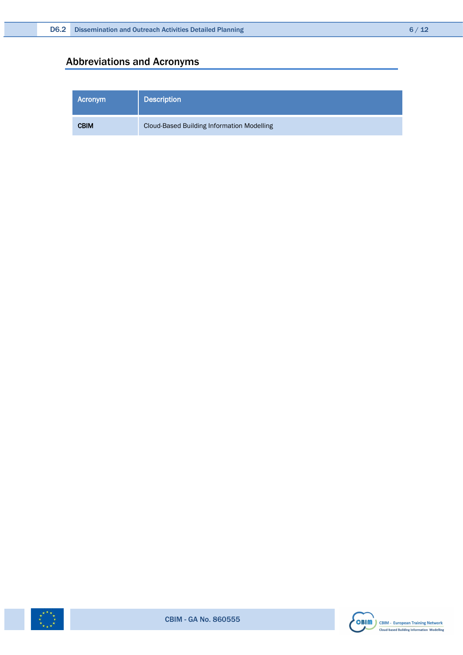### <span id="page-5-0"></span>Abbreviations and Acronyms

| Acronym     | <b>Description</b>                                |
|-------------|---------------------------------------------------|
| <b>CBIM</b> | <b>Cloud-Based Building Information Modelling</b> |



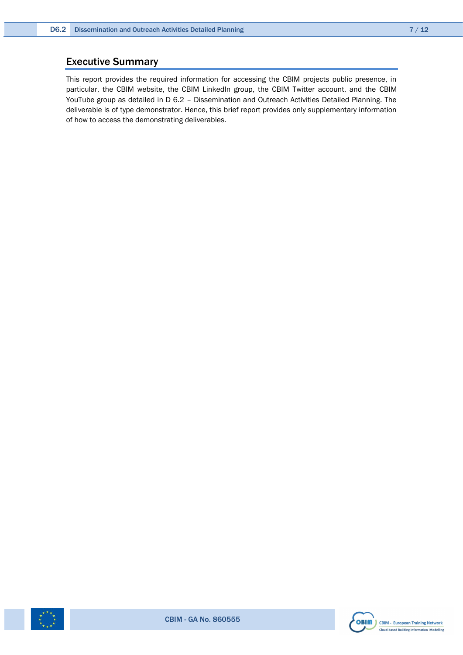### <span id="page-6-0"></span>Executive Summary

This report provides the required information for accessing the CBIM projects public presence, in particular, the CBIM website, the CBIM LinkedIn group, the CBIM Twitter account, and the CBIM YouTube group as detailed in D 6.2 – Dissemination and Outreach Activities Detailed Planning. The deliverable is of type demonstrator. Hence, this brief report provides only supplementary information of how to access the demonstrating deliverables.



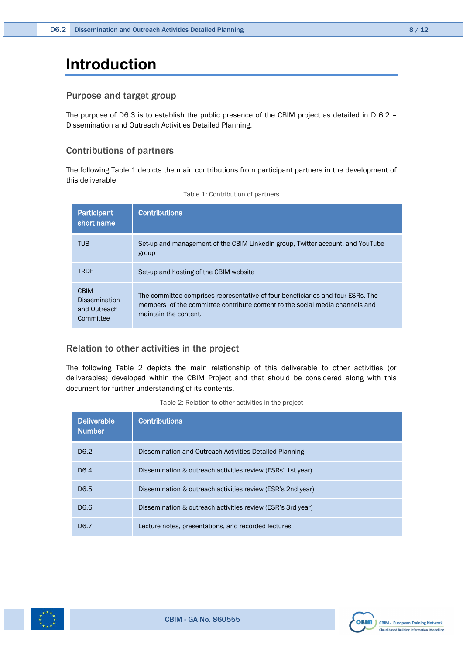## <span id="page-7-0"></span>**Introduction**

#### <span id="page-7-1"></span>Purpose and target group

The purpose of D6.3 is to establish the public presence of the CBIM project as detailed in D 6.2 – Dissemination and Outreach Activities Detailed Planning.

#### <span id="page-7-2"></span>Contributions of partners

The following [Table 1](#page-7-4) depicts the main contributions from participant partners in the development of this deliverable.

<span id="page-7-4"></span>

| <b>Participant</b><br>short name                                 | <b>Contributions</b>                                                                                                                                                                     |
|------------------------------------------------------------------|------------------------------------------------------------------------------------------------------------------------------------------------------------------------------------------|
| <b>TUB</b>                                                       | Set-up and management of the CBIM Linkedln group. Twitter account, and YouTube<br>group                                                                                                  |
| <b>TRDF</b>                                                      | Set-up and hosting of the CBIM website                                                                                                                                                   |
| <b>CBIM</b><br><b>Dissemination</b><br>and Outreach<br>Committee | The committee comprises representative of four beneficiaries and four ESRs. The<br>members of the committee contribute content to the social media channels and<br>maintain the content. |

|  | Table 1: Contribution of partners |  |  |
|--|-----------------------------------|--|--|
|--|-----------------------------------|--|--|

#### <span id="page-7-3"></span>Relation to other activities in the project

The following [Table 2](#page-7-5) depicts the main relationship of this deliverable to other activities (or deliverables) developed within the CBIM Project and that should be considered along with this document for further understanding of its contents.

<span id="page-7-5"></span>

| <b>Deliverable</b><br><b>Number</b> | <b>Contributions</b>                                        |
|-------------------------------------|-------------------------------------------------------------|
| D <sub>6.2</sub>                    | Dissemination and Outreach Activities Detailed Planning     |
| D <sub>6.4</sub>                    | Dissemination & outreach activities review (ESRs' 1st year) |
| D <sub>6.5</sub>                    | Dissemination & outreach activities review (ESR's 2nd year) |
| D6.6                                | Dissemination & outreach activities review (ESR's 3rd year) |
| D6.7                                | Lecture notes, presentations, and recorded lectures         |

Table 2: Relation to other activities in the project



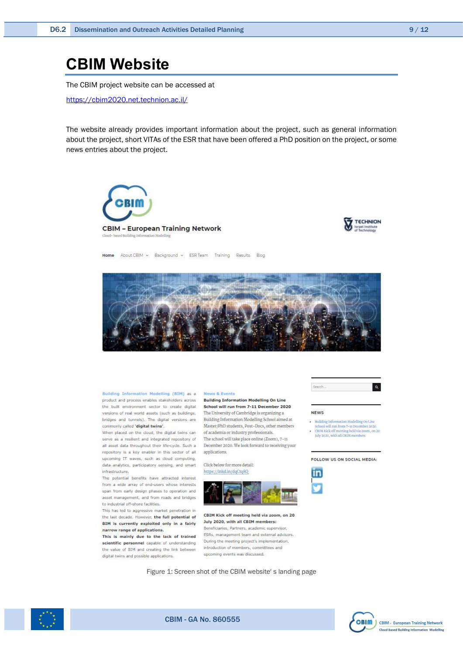### <span id="page-8-0"></span>**CBIM Website**

The CBIM project website can be accessed at

<https://cbim2020.net.technion.ac.il/>

The website already provides important information about the project, such as general information about the project, short VITAs of the ESR that have been offered a PhD position on the project, or some news entries about the project.





Home About CBIM v Background v ESR Team Training Results Blog



Building Information Modelling (BIM) as a News & Events product and process enables stakeholders across Building Information Modelling On Line the built environment sector to create digital School will run from 7-11 December 2020 versions of real world assets (such as buildings, bridges and tunnels). The digital versions are Building Information Modelling School aimed at commonly called 'digital twins'.

When placed on the cloud, the digital twins can serve as a resilient and integrated repository of all asset data throughout their life-cycle. Such a repository is a key enabler in this sector of all upcoming IT waves, such as cloud computing, data analytics, participatory sensing, and smart infrastructure.

The potential benefits have attracted interest from a wide array of end-users whose interests span from early design phases to operation and asset management, and from roads and bridges to industrial off-shore facilities.

This has led to aggressive market penetration in This has led to aggressive market penetration in<br>the last decade. However, the full potential of CBIM Kick off meeting held via zoom, on 20 BIM is currently exploited only in a fairly narrow range of applications.

This is mainly due to the lack of trained scientific personnel capable of understanding the value of BIM and creating the link between digital twins and possible applications.

The University of Cambridge is organizing a Master/PhD students, Post-Docs, other members of academia or industry professionals.

The school will take place online (Zoom), 7-11 December 2020. We look forward to receiving your applications.

Click below for more detail: https://Inkd.in/dqCtq8Q



July 2020, with all CBIM members: Beneficiaries, Partners, academic supervi

ESRs, management team and external advisors. During the meeting project's implementation, introduction of members, committees and upcoming events was discussed.

Figure 1: Screen shot of the CBIM website' s landing page



#### **NEWS**

- Building Information Modelling On Line<br>School will run from 7-11 December 2020 CHIM Kick off meeting held via zoom, on 20

tuly 2020, with all CBIM members.

#### FOLLOW US ON SOCIAL MEDIA-







<span id="page-8-1"></span>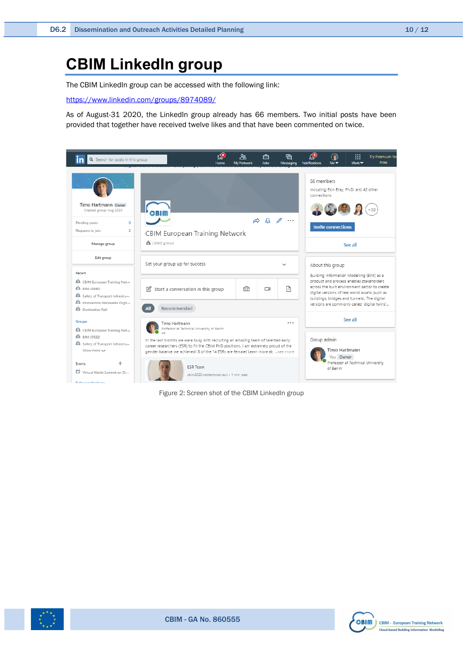# <span id="page-9-0"></span>**CBIM LinkedIn group**

The CBIM LinkedIn group can be accessed with the following link:

<https://www.linkedin.com/groups/8974089/>

As of August-31 2020, the LinkedIn group already has 66 members. Two initial posts have been provided that together have received twelve likes and that have been commented on twice.



Figure 2: Screen shot of the CBIM LinkedIn group

<span id="page-9-1"></span>

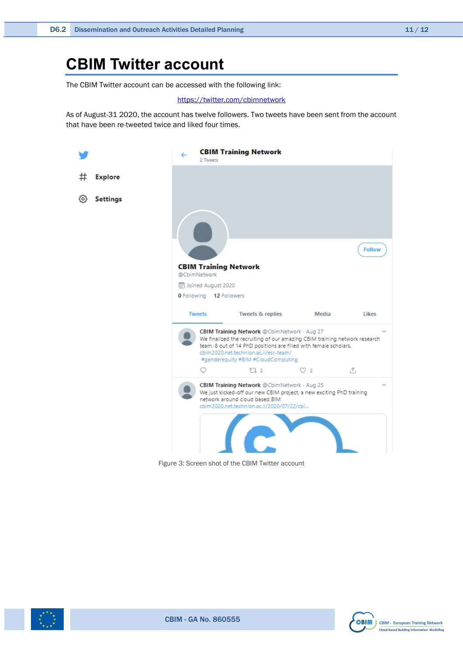# <span id="page-10-0"></span>**CBIM Twitter account**

The CBIM Twitter account can be accessed with the following link:

#### <https://twitter.com/cbimnetwork>

As of August-31 2020, the account has twelve followers. Two tweets have been sent from the account that have been re-tweeted twice and liked four times.



Figure 3: Screen shot of the CBIM Twitter account

<span id="page-10-1"></span>